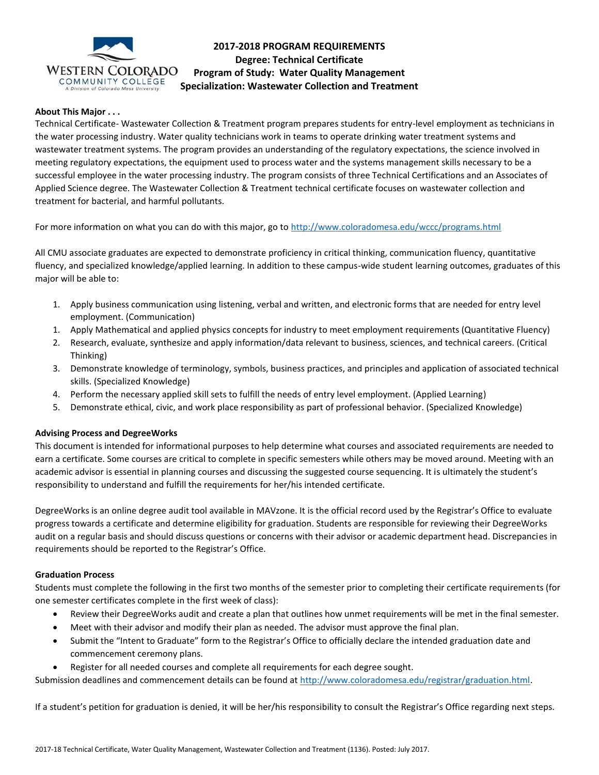

# **2017-2018 PROGRAM REQUIREMENTS Degree: Technical Certificate Program of Study: Water Quality Management Specialization: Wastewater Collection and Treatment**

## **About This Major . . .**

Technical Certificate- Wastewater Collection & Treatment program prepares students for entry-level employment as technicians in the water processing industry. Water quality technicians work in teams to operate drinking water treatment systems and wastewater treatment systems. The program provides an understanding of the regulatory expectations, the science involved in meeting regulatory expectations, the equipment used to process water and the systems management skills necessary to be a successful employee in the water processing industry. The program consists of three Technical Certifications and an Associates of Applied Science degree. The Wastewater Collection & Treatment technical certificate focuses on wastewater collection and treatment for bacterial, and harmful pollutants.

For more information on what you can do with this major, go to<http://www.coloradomesa.edu/wccc/programs.html>

All CMU associate graduates are expected to demonstrate proficiency in critical thinking, communication fluency, quantitative fluency, and specialized knowledge/applied learning. In addition to these campus-wide student learning outcomes, graduates of this major will be able to:

- 1. Apply business communication using listening, verbal and written, and electronic forms that are needed for entry level employment. (Communication)
- 1. Apply Mathematical and applied physics concepts for industry to meet employment requirements (Quantitative Fluency)
- 2. Research, evaluate, synthesize and apply information/data relevant to business, sciences, and technical careers. (Critical Thinking)
- 3. Demonstrate knowledge of terminology, symbols, business practices, and principles and application of associated technical skills. (Specialized Knowledge)
- 4. Perform the necessary applied skill sets to fulfill the needs of entry level employment. (Applied Learning)
- 5. Demonstrate ethical, civic, and work place responsibility as part of professional behavior. (Specialized Knowledge)

## **Advising Process and DegreeWorks**

This document is intended for informational purposes to help determine what courses and associated requirements are needed to earn a certificate. Some courses are critical to complete in specific semesters while others may be moved around. Meeting with an academic advisor is essential in planning courses and discussing the suggested course sequencing. It is ultimately the student's responsibility to understand and fulfill the requirements for her/his intended certificate.

DegreeWorks is an online degree audit tool available in MAVzone. It is the official record used by the Registrar's Office to evaluate progress towards a certificate and determine eligibility for graduation. Students are responsible for reviewing their DegreeWorks audit on a regular basis and should discuss questions or concerns with their advisor or academic department head. Discrepancies in requirements should be reported to the Registrar's Office.

#### **Graduation Process**

Students must complete the following in the first two months of the semester prior to completing their certificate requirements (for one semester certificates complete in the first week of class):

- Review their DegreeWorks audit and create a plan that outlines how unmet requirements will be met in the final semester.
- Meet with their advisor and modify their plan as needed. The advisor must approve the final plan.
- Submit the "Intent to Graduate" form to the Registrar's Office to officially declare the intended graduation date and commencement ceremony plans.
- Register for all needed courses and complete all requirements for each degree sought.

Submission deadlines and commencement details can be found at [http://www.coloradomesa.edu/registrar/graduation.html.](http://www.coloradomesa.edu/registrar/graduation.html)

If a student's petition for graduation is denied, it will be her/his responsibility to consult the Registrar's Office regarding next steps.